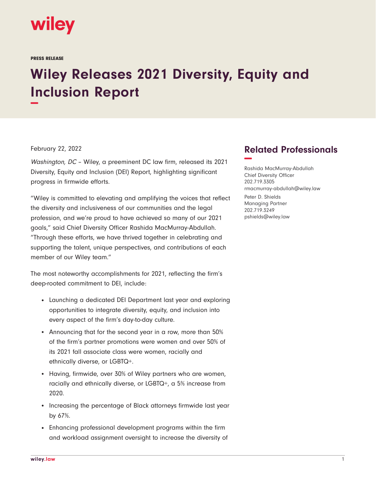

## **Wiley Releases 2021 Diversity, Equity and Inclusion Report −**

February 22, 2022

Washington, DC - Wiley, a preeminent DC law firm, released its 2021 Diversity, Equity and Inclusion (DEI) Report, highlighting significant progress in firmwide efforts.

"Wiley is committed to elevating and amplifying the voices that reflect the diversity and inclusiveness of our communities and the legal profession, and we're proud to have achieved so many of our 2021 goals," said Chief Diversity Officer Rashida MacMurray-Abdullah. "Through these efforts, we have thrived together in celebrating and supporting the talent, unique perspectives, and contributions of each member of our Wiley team."

The most noteworthy accomplishments for 2021, reflecting the firm's deep-rooted commitment to DEI, include:

- Launching a dedicated DEI Department last year and exploring opportunities to integrate diversity, equity, and inclusion into every aspect of the firm's day-to-day culture.
- Announcing that for the second year in a row, more than 50% of the firm's partner promotions were women and over 50% of its 2021 fall associate class were women, racially and ethnically diverse, or LGBTQ+.
- Having, firmwide, over 30% of Wiley partners who are women, racially and ethnically diverse, or LGBTQ+, a 5% increase from 2020.
- Increasing the percentage of Black attorneys firmwide last year by 67%.
- Enhancing professional development programs within the firm and workload assignment oversight to increase the diversity of

## **Related Professionals −**

Rashida MacMurray-Abdullah Chief Diversity Officer 202.719.3305 rmacmurray-abdullah@wiley.law

Peter D. Shields Managing Partner 202.719.3249 pshields@wiley.law